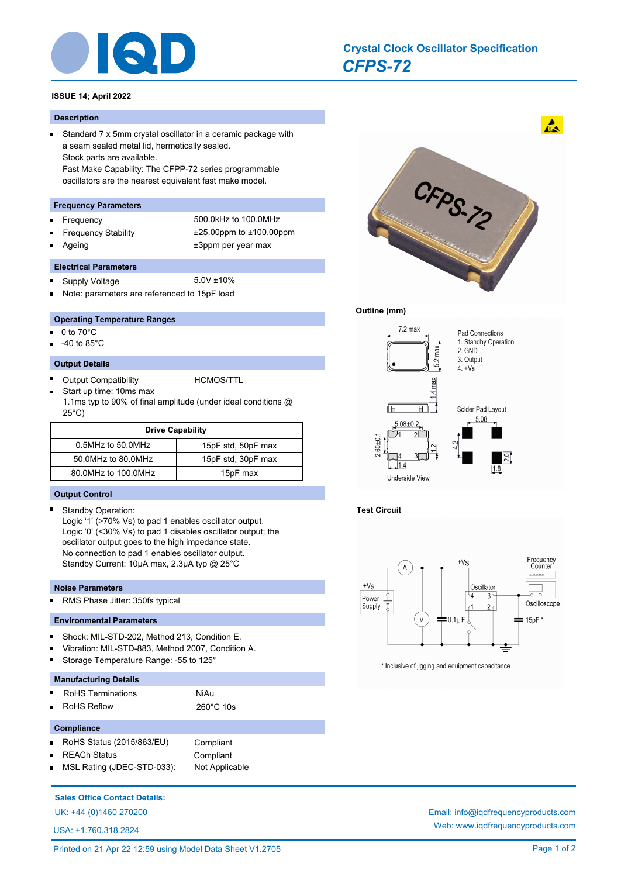

# *CFPS-72* **Crystal Clock Oscillator Specification**

# **ISSUE 14; April 2022**

#### **Description**

 $\blacksquare$ 

Ē

Standard 7 x 5mm crystal oscillator in a ceramic package with a seam sealed metal lid, hermetically sealed. Stock parts are available. Fast Make Capability: The CFPP-72 series programmable oscillators are the nearest equivalent fast make model.

#### **Frequency Parameters**

- n.
- 
- Frequency 500.0kHz to 100.0MHz Frequency Stability ±25.00ppm to ±100.00ppm Ageing the theorem of the three states of the three states  $\pm 3$ ppm per year max

#### **Electrical Parameters**

- Supply Voltage 5.0V ±10%  $\blacksquare$
- Note: parameters are referenced to 15pF load

## **Operating Temperature Ranges**

- 0 to 70°C n.
- -40 to 85°C

#### **Output Details**

Output Compatibility **HCMOS/TTL** 

Start up time: 10ms max 1.1ms typ to 90% of final amplitude (under ideal conditions @ 25°C)

| <b>Drive Capability</b> |                    |  |  |  |
|-------------------------|--------------------|--|--|--|
| 0.5MHz to 50.0MHz       | 15pF std, 50pF max |  |  |  |
| 50.0MHz to 80.0MHz      | 15pF std, 30pF max |  |  |  |
| 80.0MHz to 100.0MHz     | 15pF max           |  |  |  |

#### **Output Control**

 $\blacksquare$ Standby Operation:

> Logic '1' (>70% Vs) to pad 1 enables oscillator output. Logic '0' (<30% Vs) to pad 1 disables oscillator output; the oscillator output goes to the high impedance state. No connection to pad 1 enables oscillator output. Standby Current: 10μA max, 2.3µA typ @ 25°C

#### **Noise Parameters**

n.

RMS Phase Jitter: 350fs typical

#### **Environmental Parameters**

- Shock: MIL-STD-202, Method 213, Condition E. n.
- Vibration: MIL-STD-883, Method 2007, Condition A.
- Storage Temperature Range: -55 to 125°

#### **Manufacturing Details**

- RoHS Terminations **NiAu**
- RoHS Reflow 260°C 10s

#### **Compliance**

- $\blacksquare$ RoHS Status (2015/863/EU) Compliant
- REACh Status **Compliant** 
	- MSL Rating (JDEC-STD-033): Not Applicable

# **Sales Office Contact Details:**

UK: +44 (0)1460 270200 Email: info@iqdfrequencyproducts.com

USA: +1.760.318.2824



## **Outline (mm)**



# **Test Circuit**



\* Inclusive of jigging and equipment capacitance

Web: www.iqdfrequencyproducts.com